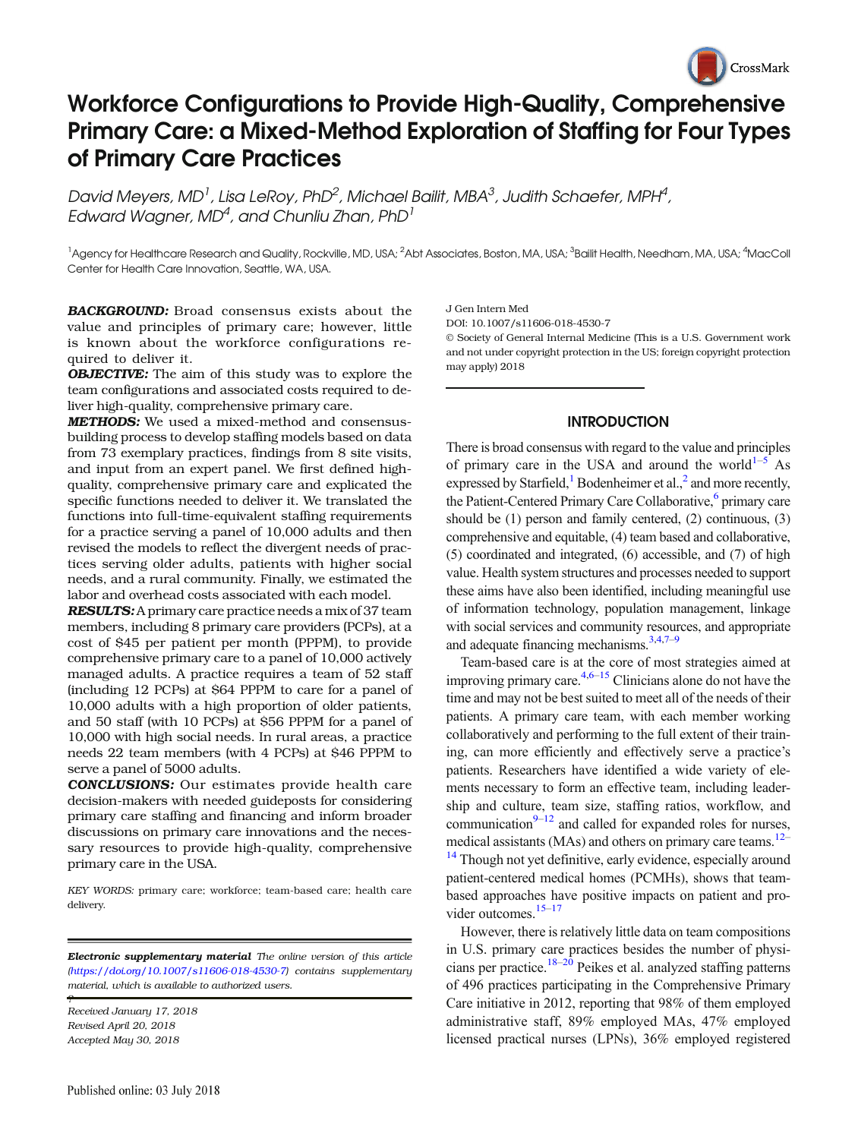

# Workforce Configurations to Provide High-Quality, Comprehensive Primary Care: a Mixed-Method Exploration of Staffing for Four Types of Primary Care Practices

David Meyers, MD<sup>1</sup>, Lisa LeRoy, PhD<sup>2</sup>, Michael Bailit, MBA $^3$ , Judith Schaefer, MPH $^4$ , Edward Wagner, MD<sup>4</sup>, and Chunliu Zhan, PhD<sup>1</sup>

<sup>1</sup>Agency for Healthcare Research and Quality, Rockville, MD, USA; <sup>2</sup>Abt Associates, Boston, MA, USA; <sup>3</sup>Bailit Health, Needham, MA, USA; <sup>4</sup>MacColl Center for Health Care Innovation, Seattle, WA, USA.

BACKGROUND: Broad consensus exists about the value and principles of primary care; however, little is known about the workforce configurations required to deliver it.

**OBJECTIVE:** The aim of this study was to explore the team configurations and associated costs required to deliver high-quality, comprehensive primary care.

METHODS: We used a mixed-method and consensusbuilding process to develop staffing models based on data from 73 exemplary practices, findings from 8 site visits, and input from an expert panel. We first defined highquality, comprehensive primary care and explicated the specific functions needed to deliver it. We translated the functions into full-time-equivalent staffing requirements for a practice serving a panel of 10,000 adults and then revised the models to reflect the divergent needs of practices serving older adults, patients with higher social needs, and a rural community. Finally, we estimated the labor and overhead costs associated with each model.

RESULTS: A primary care practice needs a mix of 37 team members, including 8 primary care providers (PCPs), at a cost of \$45 per patient per month (PPPM), to provide comprehensive primary care to a panel of 10,000 actively managed adults. A practice requires a team of 52 staff (including 12 PCPs) at \$64 PPPM to care for a panel of 10,000 adults with a high proportion of older patients, and 50 staff (with 10 PCPs) at \$56 PPPM for a panel of 10,000 with high social needs. In rural areas, a practice needs 22 team members (with 4 PCPs) at \$46 PPPM to serve a panel of 5000 adults.

CONCLUSIONS: Our estimates provide health care decision-makers with needed guideposts for considering primary care staffing and financing and inform broader discussions on primary care innovations and the necessary resources to provide high-quality, comprehensive primary care in the USA.

KEY WORDS: primary care; workforce; team-based care; health care delivery.

**Electronic supplementary material** The online version of this article ([https://doi.org/10.1007/s11606-018-4530-7](http://dx.doi.org/10.1007/s11606-018-4530-7)) contains supplementary material, which is available to authorized users.

Received January 17, 2018 Revised April 20, 2018 Accepted May 30, 2018

?

J Gen Intern Med

DOI: 10.1007/s11606-018-4530-7

© Society of General Internal Medicine (This is a U.S. Government work and not under copyright protection in the US; foreign copyright protection may apply) 2018

## **INTRODUCTION**

There is broad consensus with regard to the value and principles of primary care in the USA and around the world<sup>[1](#page-5-0)–[5](#page-5-0)</sup> As expressed by Starfield,<sup>1</sup> Bodenheimer et al.,<sup>2</sup> and more recently, the Patient-Centered Primary Care Collaborative,<sup>6</sup> primary care should be (1) person and family centered, (2) continuous, (3) comprehensive and equitable, (4) team based and collaborative, (5) coordinated and integrated, (6) accessible, and (7) of high value. Health system structures and processes needed to support these aims have also been identified, including meaningful use of information technology, population management, linkage with social services and community resources, and appropriate and adequate financing mechanisms. $3,4,7-9$  $3,4,7-9$  $3,4,7-9$  $3,4,7-9$  $3,4,7-9$ 

Team-based care is at the core of most strategies aimed at improving primary care. $4,6-15$  $4,6-15$  $4,6-15$  $4,6-15$  Clinicians alone do not have the time and may not be best suited to meet all of the needs of their patients. A primary care team, with each member working collaboratively and performing to the full extent of their training, can more efficiently and effectively serve a practice's patients. Researchers have identified a wide variety of elements necessary to form an effective team, including leadership and culture, team size, staffing ratios, workflow, and communication $9-12$  $9-12$  and called for expanded roles for nurses, medical assistants (MAs) and others on primary care teams.<sup>[12](#page-5-0)–</sup>

<sup>[14](#page-5-0)</sup> Though not yet definitive, early evidence, especially around patient-centered medical homes (PCMHs), shows that teambased approaches have positive impacts on patient and pro-vider outcomes.<sup>15–[17](#page-5-0)</sup>

However, there is relatively little data on team compositions in U.S. primary care practices besides the number of physi-cians per practice.<sup>[18](#page-5-0)–[20](#page-5-0)</sup> Peikes et al. analyzed staffing patterns of 496 practices participating in the Comprehensive Primary Care initiative in 2012, reporting that 98% of them employed administrative staff, 89% employed MAs, 47% employed licensed practical nurses (LPNs), 36% employed registered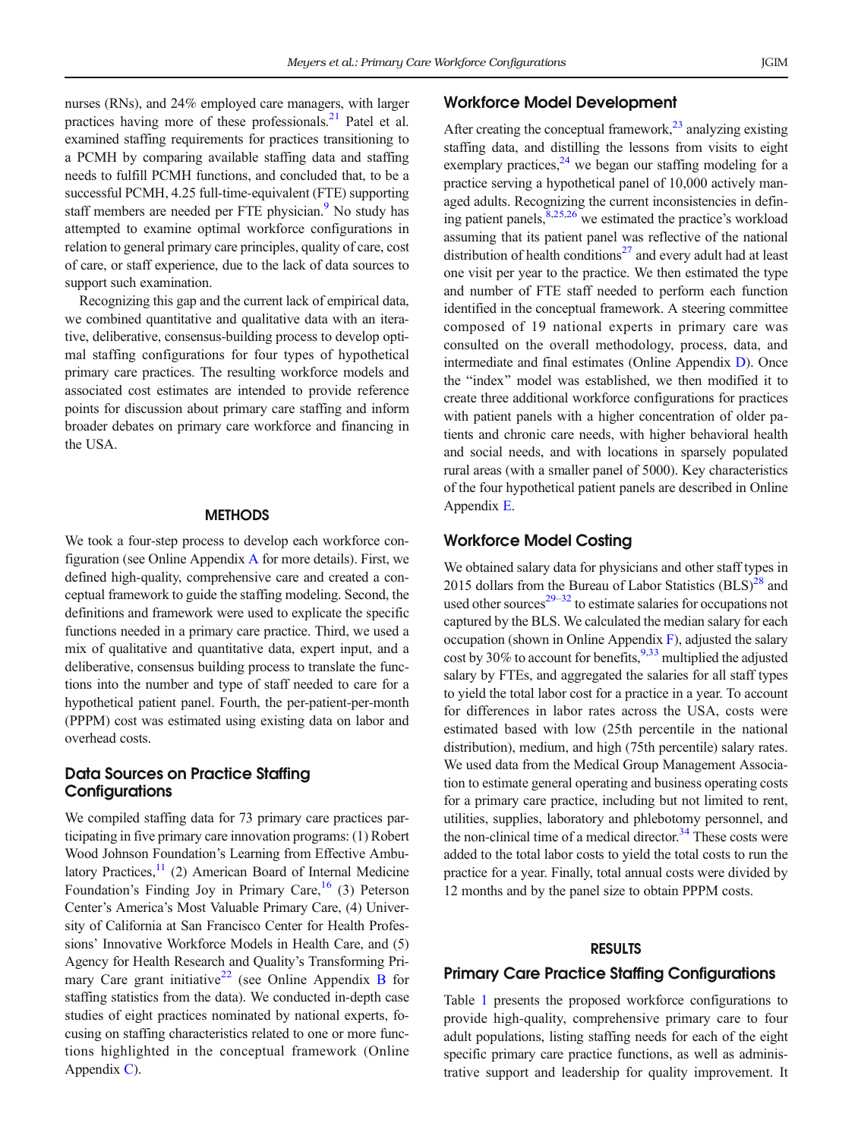nurses (RNs), and 24% employed care managers, with larger practices having more of these professionals. $^{21}$  $^{21}$  $^{21}$  Patel et al. examined staffing requirements for practices transitioning to a PCMH by comparing available staffing data and staffing needs to fulfill PCMH functions, and concluded that, to be a successful PCMH, 4.25 full-time-equivalent (FTE) supporting staff members are needed per FTE physician.<sup>[9](#page-5-0)</sup> No study has attempted to examine optimal workforce configurations in relation to general primary care principles, quality of care, cost of care, or staff experience, due to the lack of data sources to support such examination.

Recognizing this gap and the current lack of empirical data, we combined quantitative and qualitative data with an iterative, deliberative, consensus-building process to develop optimal staffing configurations for four types of hypothetical primary care practices. The resulting workforce models and associated cost estimates are intended to provide reference points for discussion about primary care staffing and inform broader debates on primary care workforce and financing in the USA.

#### **METHODS**

We took a four-step process to develop each workforce configuration (see Online Appendix A for more details). First, we defined high-quality, comprehensive care and created a conceptual framework to guide the staffing modeling. Second, the definitions and framework were used to explicate the specific functions needed in a primary care practice. Third, we used a mix of qualitative and quantitative data, expert input, and a deliberative, consensus building process to translate the functions into the number and type of staff needed to care for a hypothetical patient panel. Fourth, the per-patient-per-month (PPPM) cost was estimated using existing data on labor and overhead costs.

## Data Sources on Practice Staffing **Configurations**

We compiled staffing data for 73 primary care practices participating in five primary care innovation programs: (1) Robert Wood Johnson Foundation's Learning from Effective Ambulatory Practices, $1/1$  (2) American Board of Internal Medicine Foundation's Finding Joy in Primary Care,  $^{16}$  $^{16}$  $^{16}$  (3) Peterson Center's America's Most Valuable Primary Care, (4) University of California at San Francisco Center for Health Professions' Innovative Workforce Models in Health Care, and (5) Agency for Health Research and Quality's Transforming Pri-mary Care grant initiative<sup>[22](#page-5-0)</sup> (see Online Appendix B for staffing statistics from the data). We conducted in-depth case studies of eight practices nominated by national experts, focusing on staffing characteristics related to one or more functions highlighted in the conceptual framework (Online Appendix C).

# Workforce Model Development

After creating the conceptual framework,  $^{23}$  analyzing existing staffing data, and distilling the lessons from visits to eight exemplary practices, $2<sup>4</sup>$  we began our staffing modeling for a practice serving a hypothetical panel of 10,000 actively managed adults. Recognizing the current inconsistencies in defining patient panels,  $8,25,26$  we estimated the practice's workload assuming that its patient panel was reflective of the national distribution of health conditions<sup>[27](#page-5-0)</sup> and every adult had at least one visit per year to the practice. We then estimated the type and number of FTE staff needed to perform each function identified in the conceptual framework. A steering committee composed of 19 national experts in primary care was consulted on the overall methodology, process, data, and intermediate and final estimates (Online Appendix D). Once the "index" model was established, we then modified it to create three additional workforce configurations for practices with patient panels with a higher concentration of older patients and chronic care needs, with higher behavioral health and social needs, and with locations in sparsely populated rural areas (with a smaller panel of 5000). Key characteristics of the four hypothetical patient panels are described in Online Appendix E.

## Workforce Model Costing

We obtained salary data for physicians and other staff types in 2015 dollars from the Bureau of Labor Statistics  $(BLS)^{28}$  and used other sources $29-32$  $29-32$  $29-32$  to estimate salaries for occupations not captured by the BLS. We calculated the median salary for each occupation (shown in Online Appendix  $\overline{F}$ ), adjusted the salary cost by 30% to account for benefits,  $9,33$  multiplied the adjusted salary by FTEs, and aggregated the salaries for all staff types to yield the total labor cost for a practice in a year. To account for differences in labor rates across the USA, costs were estimated based with low (25th percentile in the national distribution), medium, and high (75th percentile) salary rates. We used data from the Medical Group Management Association to estimate general operating and business operating costs for a primary care practice, including but not limited to rent, utilities, supplies, laboratory and phlebotomy personnel, and the non-clinical time of a medical director. $34$  These costs were added to the total labor costs to yield the total costs to run the practice for a year. Finally, total annual costs were divided by 12 months and by the panel size to obtain PPPM costs.

#### RESULTS

#### Primary Care Practice Staffing Configurations

Table [1](#page-2-0) presents the proposed workforce configurations to provide high-quality, comprehensive primary care to four adult populations, listing staffing needs for each of the eight specific primary care practice functions, as well as administrative support and leadership for quality improvement. It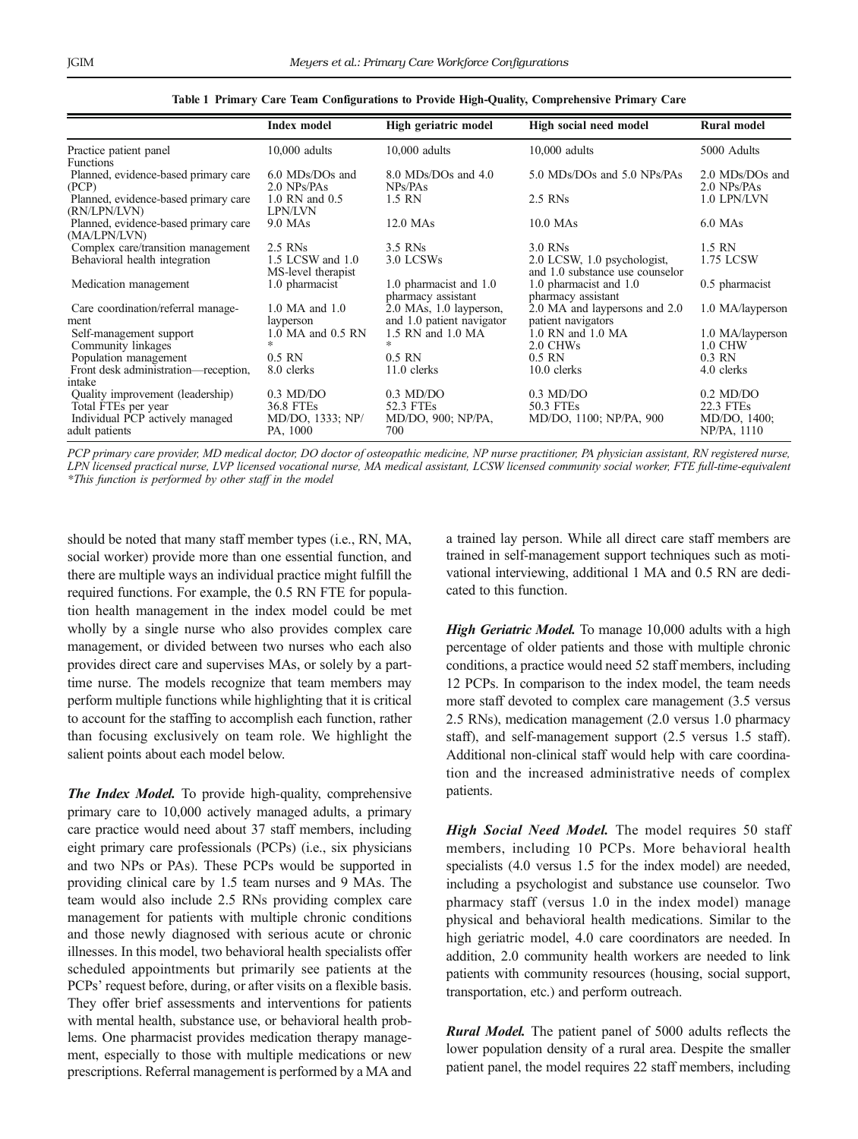<span id="page-2-0"></span>

|                                                                                            | <b>Index model</b>                                   | High geriatric model                                    | High social need model                                         | <b>Rural model</b>                               |
|--------------------------------------------------------------------------------------------|------------------------------------------------------|---------------------------------------------------------|----------------------------------------------------------------|--------------------------------------------------|
| Practice patient panel                                                                     | $10,000$ adults                                      | $10,000$ adults                                         | $10,000$ adults                                                | 5000 Adults                                      |
| <b>Functions</b>                                                                           |                                                      |                                                         |                                                                |                                                  |
| Planned, evidence-based primary care<br>(PCP)                                              | 6.0 MDs/DOs and<br>2.0 NPs/PAs                       | 8.0 MDs/DOs and 4.0<br>NPs/PAs                          | 5.0 MDs/DOs and 5.0 NPs/PAs                                    | $2.0$ MDs/DOs and<br>$2.0$ NPs/PAs               |
| Planned, evidence-based primary care<br>(RN/LPN/LVN)                                       | 1.0 RN and 0.5<br>LPN/LVN                            | 1.5 RN                                                  | 2.5 RNs                                                        | 1.0 LPN/LVN                                      |
| Planned, evidence-based primary care<br>(MA/LPN/LVN)                                       | 9.0 MAs                                              | $12.0$ MAs                                              | $10.0$ MAs                                                     | $6.0$ MAs                                        |
| Complex care/transition management                                                         | 2.5 RNs                                              | 3.5 RNs                                                 | 3.0 RNs                                                        | 1.5 RN                                           |
| Behavioral health integration                                                              | 1.5 LCSW and 1.0<br>MS-level therapist               | 3.0 LCSWs                                               | 2.0 LCSW, 1.0 psychologist,<br>and 1.0 substance use counselor | 1.75 LCSW                                        |
| Medication management                                                                      | 1.0 pharmacist                                       | 1.0 pharmacist and 1.0<br>pharmacy assistant            | 1.0 pharmacist and 1.0<br>pharmacy assistant                   | $0.5$ pharmacist                                 |
| Care coordination/referral manage-<br>ment                                                 | 1.0 MA and 1.0<br>layperson                          | 2.0 MAs, 1.0 layperson,<br>and 1.0 patient navigator    | 2.0 MA and laypersons and 2.0<br>patient navigators            | 1.0 MA/layperson                                 |
| Self-management support<br>Community linkages                                              | 1.0 MA and 0.5 RN<br>*                               | 1.5 RN and 1.0 MA<br>$\ast$                             | 1.0 RN and 1.0 MA<br>2.0 CHWs                                  | 1.0 MA/layperson<br>1.0 CHW                      |
| Population management                                                                      | $0.5$ RN                                             | $0.5$ RN                                                | $0.5$ RN                                                       | $0.3$ RN                                         |
| Front desk administration—reception,                                                       | 8.0 clerks                                           | $11.0$ clerks                                           | $10.0$ clerks                                                  | 4.0 clerks                                       |
| intake                                                                                     |                                                      |                                                         |                                                                |                                                  |
| Quality improvement (leadership)<br>Total FTEs per year<br>Individual PCP actively managed | $0.3 \text{ MD/DO}$<br>36.8 FTEs<br>MD/DO, 1333; NP/ | $0.3 \text{ MD}$ /DO<br>52.3 FTEs<br>MD/DO, 900; NP/PA, | $0.3 \text{ MD}$<br>50.3 FTEs<br>MD/DO, 1100; NP/PA, 900       | $0.2 \text{ MD/DO}$<br>22.3 FTEs<br>MD/DO, 1400; |
| adult patients                                                                             | PA, 1000                                             | 700                                                     |                                                                | NP/PA, 1110                                      |

Table 1 Primary Care Team Configurations to Provide High-Quality, Comprehensive Primary Care

PCP primary care provider, MD medical doctor, DO doctor of osteopathic medicine, NP nurse practitioner, PA physician assistant, RN registered nurse, LPN licensed practical nurse, LVP licensed vocational nurse, MA medical assistant, LCSW licensed community social worker, FTE full-time-equivalent \*This function is performed by other staff in the model

should be noted that many staff member types (i.e., RN, MA, social worker) provide more than one essential function, and there are multiple ways an individual practice might fulfill the required functions. For example, the 0.5 RN FTE for population health management in the index model could be met wholly by a single nurse who also provides complex care management, or divided between two nurses who each also provides direct care and supervises MAs, or solely by a parttime nurse. The models recognize that team members may perform multiple functions while highlighting that it is critical to account for the staffing to accomplish each function, rather than focusing exclusively on team role. We highlight the salient points about each model below.

The Index Model. To provide high-quality, comprehensive primary care to 10,000 actively managed adults, a primary care practice would need about 37 staff members, including eight primary care professionals (PCPs) (i.e., six physicians and two NPs or PAs). These PCPs would be supported in providing clinical care by 1.5 team nurses and 9 MAs. The team would also include 2.5 RNs providing complex care management for patients with multiple chronic conditions and those newly diagnosed with serious acute or chronic illnesses. In this model, two behavioral health specialists offer scheduled appointments but primarily see patients at the PCPs' request before, during, or after visits on a flexible basis. They offer brief assessments and interventions for patients with mental health, substance use, or behavioral health problems. One pharmacist provides medication therapy management, especially to those with multiple medications or new prescriptions. Referral management is performed by a MA and

a trained lay person. While all direct care staff members are trained in self-management support techniques such as motivational interviewing, additional 1 MA and 0.5 RN are dedicated to this function.

High Geriatric Model. To manage 10,000 adults with a high percentage of older patients and those with multiple chronic conditions, a practice would need 52 staff members, including 12 PCPs. In comparison to the index model, the team needs more staff devoted to complex care management (3.5 versus 2.5 RNs), medication management (2.0 versus 1.0 pharmacy staff), and self-management support (2.5 versus 1.5 staff). Additional non-clinical staff would help with care coordination and the increased administrative needs of complex patients.

High Social Need Model. The model requires 50 staff members, including 10 PCPs. More behavioral health specialists  $(4.0 \text{ versus } 1.5 \text{ for the index model})$  are needed, including a psychologist and substance use counselor. Two pharmacy staff (versus 1.0 in the index model) manage physical and behavioral health medications. Similar to the high geriatric model, 4.0 care coordinators are needed. In addition, 2.0 community health workers are needed to link patients with community resources (housing, social support, transportation, etc.) and perform outreach.

**Rural Model.** The patient panel of 5000 adults reflects the lower population density of a rural area. Despite the smaller patient panel, the model requires 22 staff members, including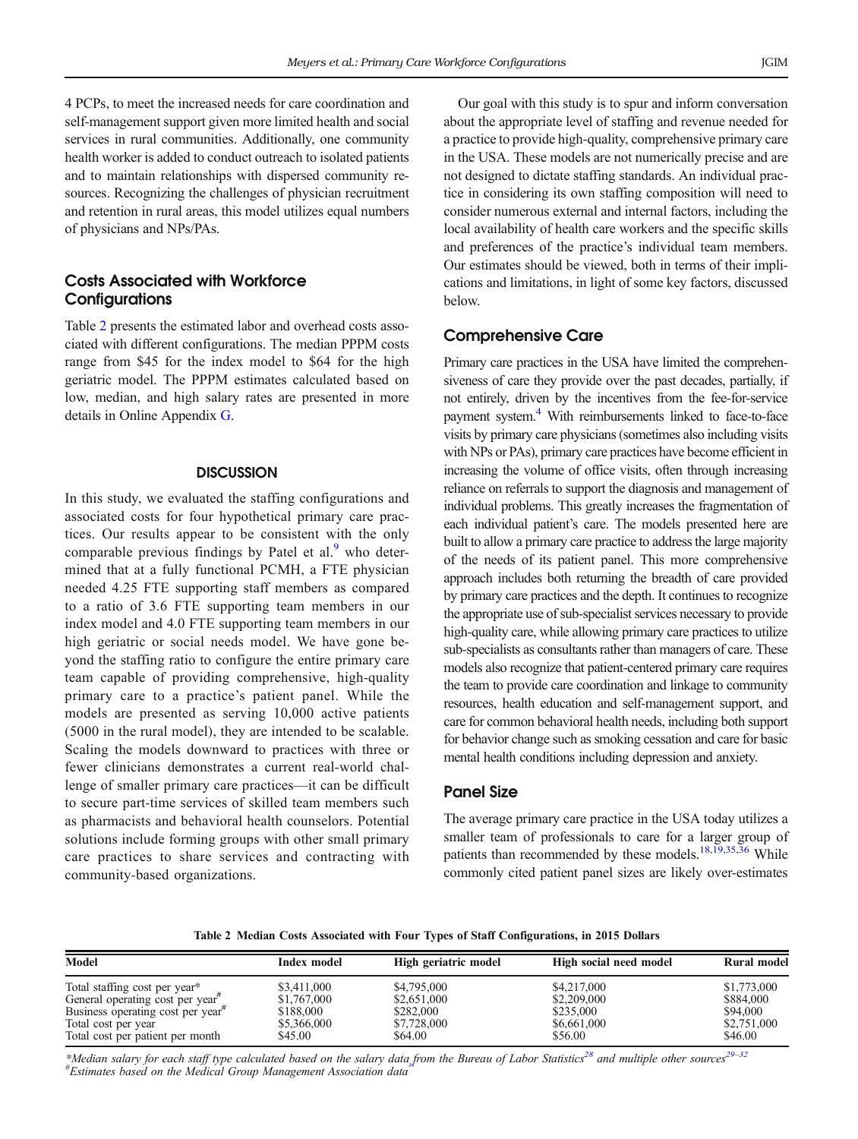4 PCPs, to meet the increased needs for care coordination and self-management support given more limited health and social services in rural communities. Additionally, one community health worker is added to conduct outreach to isolated patients and to maintain relationships with dispersed community resources. Recognizing the challenges of physician recruitment and retention in rural areas, this model utilizes equal numbers of physicians and NPs/PAs.

# Costs Associated with Workforce **Configurations**

Table 2 presents the estimated labor and overhead costs associated with different configurations. The median PPPM costs range from \$45 for the index model to \$64 for the high geriatric model. The PPPM estimates calculated based on low, median, and high salary rates are presented in more details in Online Appendix G.

#### **DISCUSSION**

In this study, we evaluated the staffing configurations and associated costs for four hypothetical primary care practices. Our results appear to be consistent with the only comparable previous findings by Patel et al. $9$  who determined that at a fully functional PCMH, a FTE physician needed 4.25 FTE supporting staff members as compared to a ratio of 3.6 FTE supporting team members in our index model and 4.0 FTE supporting team members in our high geriatric or social needs model. We have gone beyond the staffing ratio to configure the entire primary care team capable of providing comprehensive, high-quality primary care to a practice's patient panel. While the models are presented as serving 10,000 active patients (5000 in the rural model), they are intended to be scalable. Scaling the models downward to practices with three or fewer clinicians demonstrates a current real-world challenge of smaller primary care practices—it can be difficult to secure part-time services of skilled team members such as pharmacists and behavioral health counselors. Potential solutions include forming groups with other small primary care practices to share services and contracting with community-based organizations.

Our goal with this study is to spur and inform conversation about the appropriate level of staffing and revenue needed for a practice to provide high-quality, comprehensive primary care in the USA. These models are not numerically precise and are not designed to dictate staffing standards. An individual practice in considering its own staffing composition will need to consider numerous external and internal factors, including the local availability of health care workers and the specific skills and preferences of the practice's individual team members. Our estimates should be viewed, both in terms of their implications and limitations, in light of some key factors, discussed below.

## Comprehensive Care

Primary care practices in the USA have limited the comprehensiveness of care they provide over the past decades, partially, if not entirely, driven by the incentives from the fee-for-service payment system[.4](#page-5-0) With reimbursements linked to face-to-face visits by primary care physicians(sometimes also including visits with NPs or PAs), primary care practices have become efficient in increasing the volume of office visits, often through increasing reliance on referrals to support the diagnosis and management of individual problems. This greatly increases the fragmentation of each individual patient's care. The models presented here are built to allow a primary care practice to address the large majority of the needs of its patient panel. This more comprehensive approach includes both returning the breadth of care provided by primary care practices and the depth. It continues to recognize the appropriate use of sub-specialist services necessary to provide high-quality care, while allowing primary care practices to utilize sub-specialists as consultants rather than managers of care. These models also recognize that patient-centered primary care requires the team to provide care coordination and linkage to community resources, health education and self-management support, and care for common behavioral health needs, including both support for behavior change such as smoking cessation and care for basic mental health conditions including depression and anxiety.

#### Panel Size

The average primary care practice in the USA today utilizes a smaller team of professionals to care for a larger group of patients than recommended by these models.<sup>[18,19](#page-5-0),[35,36](#page-5-0)</sup> While commonly cited patient panel sizes are likely over-estimates

Table 2 Median Costs Associated with Four Types of Staff Configurations, in 2015 Dollars

| Model                                                                                                                                                             | Index model                                                       | High geriatric model                                              | High social need model                                            | <b>Rural model</b>                                             |
|-------------------------------------------------------------------------------------------------------------------------------------------------------------------|-------------------------------------------------------------------|-------------------------------------------------------------------|-------------------------------------------------------------------|----------------------------------------------------------------|
| Total staffing cost per year*<br>General operating cost per year"<br>Business operating cost per year"<br>Total cost per year<br>Total cost per patient per month | \$3,411,000<br>\$1,767,000<br>\$188,000<br>\$5,366,000<br>\$45.00 | \$4,795,000<br>\$2,651,000<br>\$282,000<br>\$7,728,000<br>\$64.00 | \$4,217,000<br>\$2,209,000<br>\$235,000<br>\$6,661,000<br>\$56.00 | \$1,773,000<br>\$884,000<br>\$94,000<br>\$2,751,000<br>\$46.00 |

\*Median salary for each staff type calculated based on the salary dat[a f](#page-5-0)rom the Bureau of Labor Statistics<sup>[28](#page-5-0)</sup> and multiple other sources<sup>29–[32](#page-5-0)</sup> *ALLACTER CREATING STATE CONSUMER STATE CREATING STATE*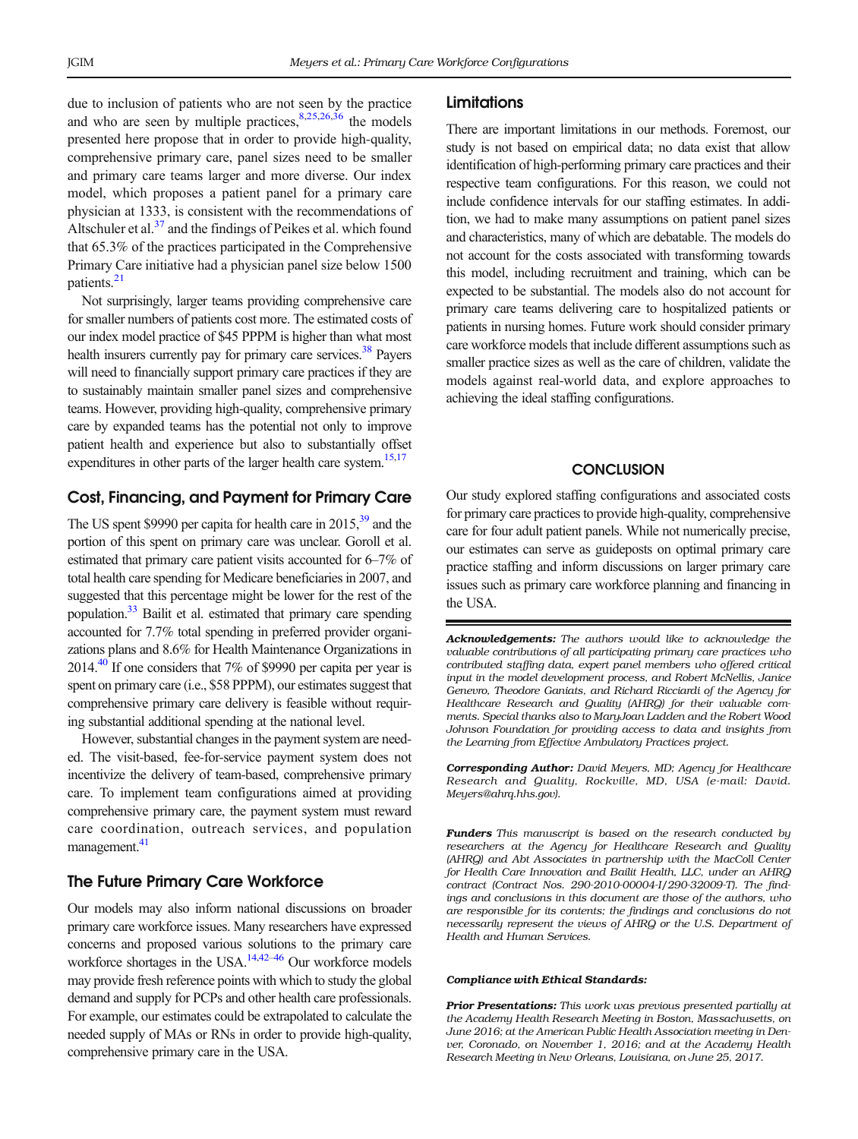due to inclusion of patients who are not seen by the practice and who are seen by multiple practices,  $8,25,26,36$  the models presented here propose that in order to provide high-quality, comprehensive primary care, panel sizes need to be smaller and primary care teams larger and more diverse. Our index model, which proposes a patient panel for a primary care physician at 1333, is consistent with the recommendations of Altschuler et al. $37$  and the findings of Peikes et al. which found that 65.3% of the practices participated in the Comprehensive Primary Care initiative had a physician panel size below 1500 patients.<sup>21</sup>

Not surprisingly, larger teams providing comprehensive care for smaller numbers of patients cost more. The estimated costs of our index model practice of \$45 PPPM is higher than what most health insurers currently pay for primary care services.<sup>38</sup> Payers will need to financially support primary care practices if they are to sustainably maintain smaller panel sizes and comprehensive teams. However, providing high-quality, comprehensive primary care by expanded teams has the potential not only to improve patient health and experience but also to substantially offset expenditures in other parts of the larger health care system.<sup>[15,17](#page-5-0)</sup>

## Cost, Financing, and Payment for Primary Care

The US spent \$9990 per capita for health care in 2015,<sup>39</sup> and the portion of this spent on primary care was unclear. Goroll et al. estimated that primary care patient visits accounted for 6–7% of total health care spending for Medicare beneficiaries in 2007, and suggested that this percentage might be lower for the rest of the population[.33](#page-5-0) Bailit et al. estimated that primary care spending accounted for 7.7% total spending in preferred provider organizations plans and 8.6% for Health Maintenance Organizations in 2014.<sup>40</sup> If one considers that  $7\%$  of \$9990 per capita per year is spent on primary care (i.e., \$58 PPPM), our estimates suggest that comprehensive primary care delivery is feasible without requiring substantial additional spending at the national level.

However, substantial changes in the payment system are needed. The visit-based, fee-for-service payment system does not incentivize the delivery of team-based, comprehensive primary care. To implement team configurations aimed at providing comprehensive primary care, the payment system must reward care coordination, outreach services, and population management.<sup>[41](#page-5-0)</sup>

## The Future Primary Care Workforce

Our models may also inform national discussions on broader primary care workforce issues. Many researchers have expressed concerns and proposed various solutions to the primary care workforce shortages in the USA.<sup>14,42–[46](#page-5-0)</sup> Our workforce models may provide fresh reference points with which to study the global demand and supply for PCPs and other health care professionals. For example, our estimates could be extrapolated to calculate the needed supply of MAs or RNs in order to provide high-quality, comprehensive primary care in the USA.

#### **Limitations**

There are important limitations in our methods. Foremost, our study is not based on empirical data; no data exist that allow identification of high-performing primary care practices and their respective team configurations. For this reason, we could not include confidence intervals for our staffing estimates. In addition, we had to make many assumptions on patient panel sizes and characteristics, many of which are debatable. The models do not account for the costs associated with transforming towards this model, including recruitment and training, which can be expected to be substantial. The models also do not account for primary care teams delivering care to hospitalized patients or patients in nursing homes. Future work should consider primary care workforce models that include different assumptions such as smaller practice sizes as well as the care of children, validate the models against real-world data, and explore approaches to achieving the ideal staffing configurations.

## **CONCLUSION**

Our study explored staffing configurations and associated costs for primary care practices to provide high-quality, comprehensive care for four adult patient panels. While not numerically precise, our estimates can serve as guideposts on optimal primary care practice staffing and inform discussions on larger primary care issues such as primary care workforce planning and financing in the USA.

Acknowledgements: The authors would like to acknowledge the valuable contributions of all participating primary care practices who contributed staffing data, expert panel members who offered critical input in the model development process, and Robert McNellis, Janice Genevro, Theodore Ganiats, and Richard Ricciardi of the Agency for Healthcare Research and Quality (AHRQ) for their valuable comments. Special thanks also to MaryJoan Ladden and the Robert Wood Johnson Foundation for providing access to data and insights from the Learning from Effective Ambulatory Practices project.

Corresponding Author: David Meyers, MD; Agency for Healthcare Research and Quality, Rockville, MD, USA (e-mail: David. Meyers@ahrq.hhs.gov).

Funders This manuscript is based on the research conducted by researchers at the Agency for Healthcare Research and Quality (AHRQ) and Abt Associates in partnership with the MacColl Center for Health Care Innovation and Bailit Health, LLC, under an AHRQ contract (Contract Nos. 290-2010-00004-I/290-32009-T). The findings and conclusions in this document are those of the authors, who are responsible for its contents; the findings and conclusions do not necessarily represent the views of AHRQ or the U.S. Department of Health and Human Services.

#### Compliance with Ethical Standards:

Prior Presentations: This work was previous presented partially at the Academy Health Research Meeting in Boston, Massachusetts, on June 2016; at the American Public Health Association meeting in Denver, Coronado, on November 1, 2016; and at the Academy Health Research Meeting in New Orleans, Louisiana, on June 25, 2017.